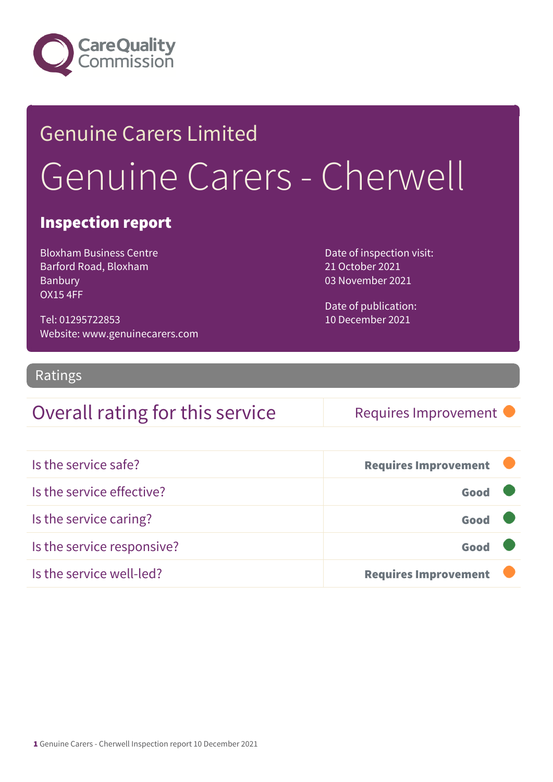

## Genuine Carers Limited Genuine Carers - Cherwell

#### Inspection report

Bloxham Business Centre Barford Road, Bloxham Banbury OX15 4FF

Tel: 01295722853 Website: www.genuinecarers.com Date of inspection visit: 21 October 2021 03 November 2021

Date of publication: 10 December 2021

#### Ratings

### Overall rating for this service Requires Improvement

| Is the service safe?       | <b>Requires Improvement</b> |  |
|----------------------------|-----------------------------|--|
| Is the service effective?  | Good                        |  |
| Is the service caring?     | Good                        |  |
| Is the service responsive? | Good                        |  |
| Is the service well-led?   | <b>Requires Improvement</b> |  |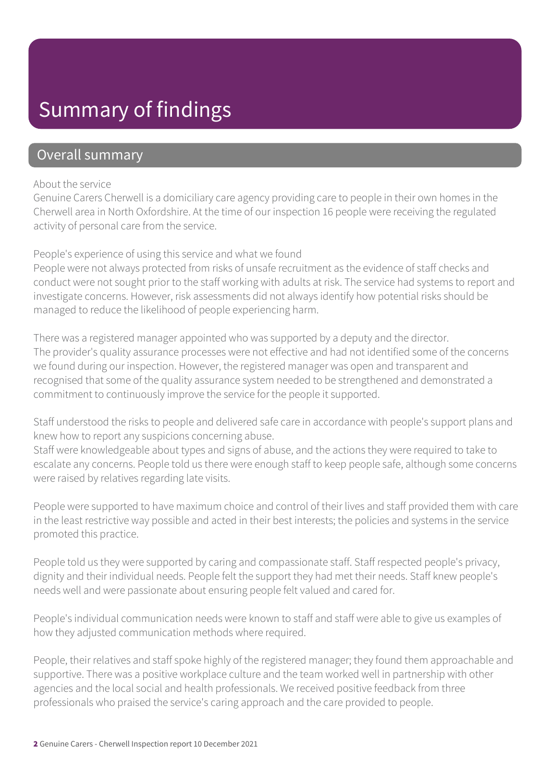### Summary of findings

#### Overall summary

#### About the service

Genuine Carers Cherwell is a domiciliary care agency providing care to people in their own homes in the Cherwell area in North Oxfordshire. At the time of our inspection 16 people were receiving the regulated activity of personal care from the service.

#### People's experience of using this service and what we found

People were not always protected from risks of unsafe recruitment as the evidence of staff checks and conduct were not sought prior to the staff working with adults at risk. The service had systems to report and investigate concerns. However, risk assessments did not always identify how potential risks should be managed to reduce the likelihood of people experiencing harm.

There was a registered manager appointed who was supported by a deputy and the director. The provider's quality assurance processes were not effective and had not identified some of the concerns we found during our inspection. However, the registered manager was open and transparent and recognised that some of the quality assurance system needed to be strengthened and demonstrated a commitment to continuously improve the service for the people it supported.

Staff understood the risks to people and delivered safe care in accordance with people's support plans and knew how to report any suspicions concerning abuse.

Staff were knowledgeable about types and signs of abuse, and the actions they were required to take to escalate any concerns. People told us there were enough staff to keep people safe, although some concerns were raised by relatives regarding late visits.

People were supported to have maximum choice and control of their lives and staff provided them with care in the least restrictive way possible and acted in their best interests; the policies and systems in the service promoted this practice.

People told us they were supported by caring and compassionate staff. Staff respected people's privacy, dignity and their individual needs. People felt the support they had met their needs. Staff knew people's needs well and were passionate about ensuring people felt valued and cared for.

People's individual communication needs were known to staff and staff were able to give us examples of how they adjusted communication methods where required.

People, their relatives and staff spoke highly of the registered manager; they found them approachable and supportive. There was a positive workplace culture and the team worked well in partnership with other agencies and the local social and health professionals. We received positive feedback from three professionals who praised the service's caring approach and the care provided to people.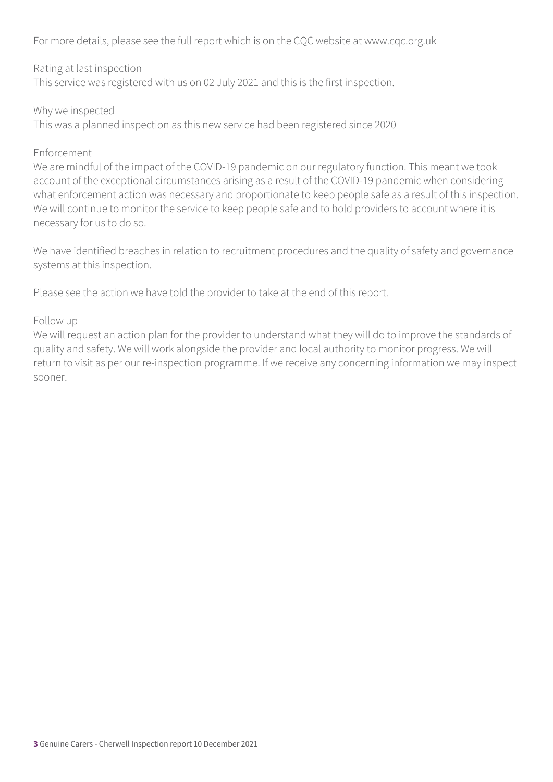For more details, please see the full report which is on the CQC website at www.cqc.org.uk

#### Rating at last inspection

This service was registered with us on 02 July 2021 and this is the first inspection.

#### Why we inspected

This was a planned inspection as this new service had been registered since 2020

#### Enforcement

We are mindful of the impact of the COVID-19 pandemic on our regulatory function. This meant we took account of the exceptional circumstances arising as a result of the COVID-19 pandemic when considering what enforcement action was necessary and proportionate to keep people safe as a result of this inspection. We will continue to monitor the service to keep people safe and to hold providers to account where it is necessary for us to do so.

We have identified breaches in relation to recruitment procedures and the quality of safety and governance systems at this inspection.

Please see the action we have told the provider to take at the end of this report.

#### Follow up

We will request an action plan for the provider to understand what they will do to improve the standards of quality and safety. We will work alongside the provider and local authority to monitor progress. We will return to visit as per our re-inspection programme. If we receive any concerning information we may inspect sooner.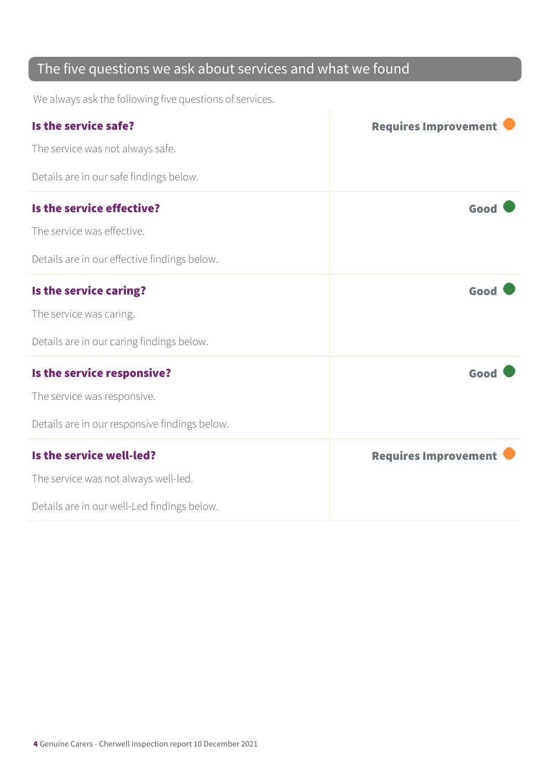### The five questions we ask about services and what we found

We always ask the following five questions of services.

| Is the service safe?                          | <b>Requires Improvement</b> |
|-----------------------------------------------|-----------------------------|
| The service was not always safe.              |                             |
| Details are in our safe findings below.       |                             |
| Is the service effective?                     | Good                        |
| The service was effective.                    |                             |
| Details are in our effective findings below.  |                             |
| Is the service caring?                        | Good                        |
| The service was caring.                       |                             |
| Details are in our caring findings below.     |                             |
| Is the service responsive?                    | Good                        |
| The service was responsive.                   |                             |
| Details are in our responsive findings below. |                             |
| Is the service well-led?                      | <b>Requires Improvement</b> |
| The service was not always well-led.          |                             |
| Details are in our well-Led findings below.   |                             |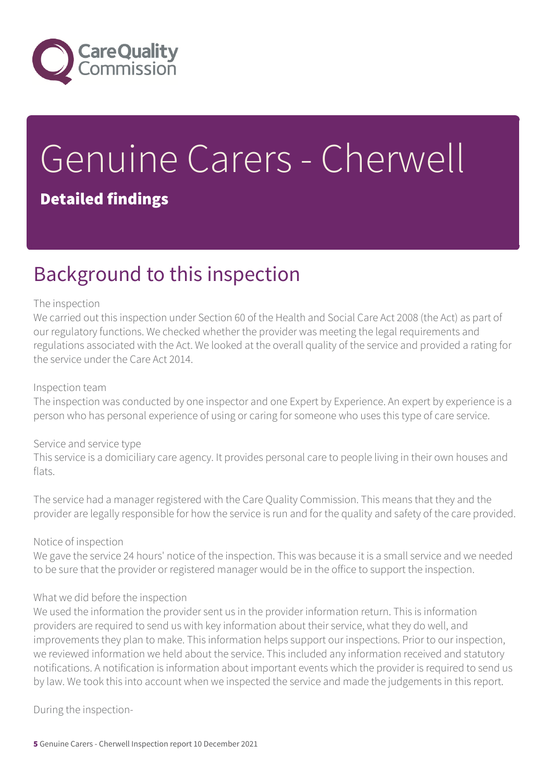

# Genuine Carers - Cherwell

#### Detailed findings

### Background to this inspection

#### The inspection

We carried out this inspection under Section 60 of the Health and Social Care Act 2008 (the Act) as part of our regulatory functions. We checked whether the provider was meeting the legal requirements and regulations associated with the Act. We looked at the overall quality of the service and provided a rating for the service under the Care Act 2014.

#### Inspection team

The inspection was conducted by one inspector and one Expert by Experience. An expert by experience is a person who has personal experience of using or caring for someone who uses this type of care service.

#### Service and service type

This service is a domiciliary care agency. It provides personal care to people living in their own houses and flats.

The service had a manager registered with the Care Quality Commission. This means that they and the provider are legally responsible for how the service is run and for the quality and safety of the care provided.

#### Notice of inspection

We gave the service 24 hours' notice of the inspection. This was because it is a small service and we needed to be sure that the provider or registered manager would be in the office to support the inspection.

#### What we did before the inspection

We used the information the provider sent us in the provider information return. This is information providers are required to send us with key information about their service, what they do well, and improvements they plan to make. This information helps support our inspections. Prior to our inspection, we reviewed information we held about the service. This included any information received and statutory notifications. A notification is information about important events which the provider is required to send us by law. We took this into account when we inspected the service and made the judgements in this report.

During the inspection-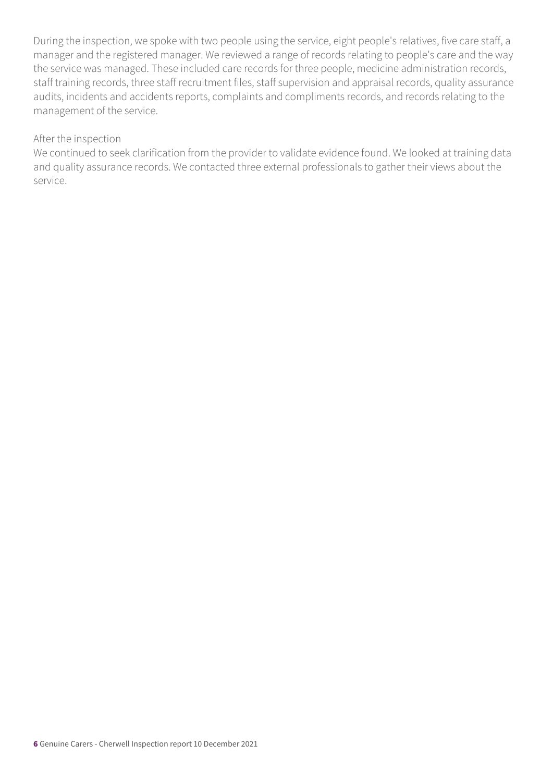During the inspection, we spoke with two people using the service, eight people's relatives, five care staff, a manager and the registered manager. We reviewed a range of records relating to people's care and the way the service was managed. These included care records for three people, medicine administration records, staff training records, three staff recruitment files, staff supervision and appraisal records, quality assurance audits, incidents and accidents reports, complaints and compliments records, and records relating to the management of the service.

#### After the inspection

We continued to seek clarification from the provider to validate evidence found. We looked at training data and quality assurance records. We contacted three external professionals to gather their views about the service.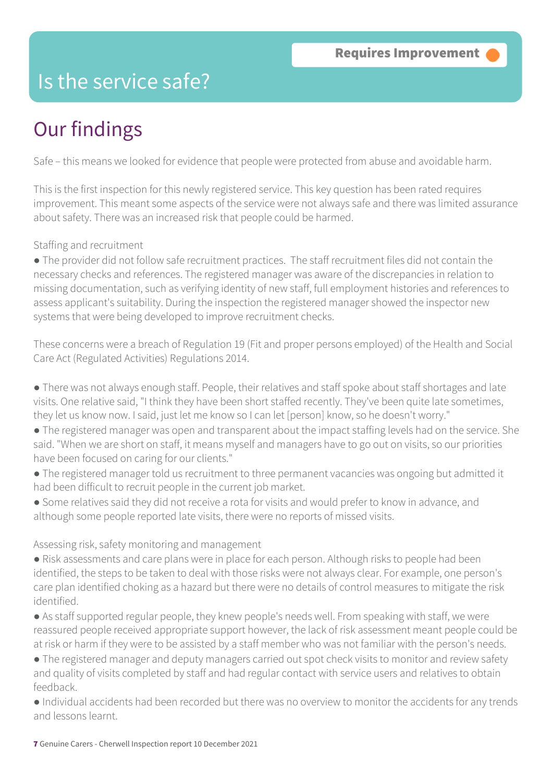### Is the service safe?

### Our findings

Safe – this means we looked for evidence that people were protected from abuse and avoidable harm.

This is the first inspection for this newly registered service. This key question has been rated requires improvement. This meant some aspects of the service were not always safe and there was limited assurance about safety. There was an increased risk that people could be harmed.

Staffing and recruitment

● The provider did not follow safe recruitment practices. The staff recruitment files did not contain the necessary checks and references. The registered manager was aware of the discrepancies in relation to missing documentation, such as verifying identity of new staff, full employment histories and references to assess applicant's suitability. During the inspection the registered manager showed the inspector new systems that were being developed to improve recruitment checks.

These concerns were a breach of Regulation 19 (Fit and proper persons employed) of the Health and Social Care Act (Regulated Activities) Regulations 2014.

- There was not always enough staff. People, their relatives and staff spoke about staff shortages and late visits. One relative said, "I think they have been short staffed recently. They've been quite late sometimes, they let us know now. I said, just let me know so I can let [person] know, so he doesn't worry."
- The registered manager was open and transparent about the impact staffing levels had on the service. She said. "When we are short on staff, it means myself and managers have to go out on visits, so our priorities have been focused on caring for our clients."
- The registered manager told us recruitment to three permanent vacancies was ongoing but admitted it had been difficult to recruit people in the current job market.
- Some relatives said they did not receive a rota for visits and would prefer to know in advance, and although some people reported late visits, there were no reports of missed visits.

#### Assessing risk, safety monitoring and management

- Risk assessments and care plans were in place for each person. Although risks to people had been identified, the steps to be taken to deal with those risks were not always clear. For example, one person's care plan identified choking as a hazard but there were no details of control measures to mitigate the risk identified.
- As staff supported regular people, they knew people's needs well. From speaking with staff, we were reassured people received appropriate support however, the lack of risk assessment meant people could be at risk or harm if they were to be assisted by a staff member who was not familiar with the person's needs.
- The registered manager and deputy managers carried out spot check visits to monitor and review safety and quality of visits completed by staff and had regular contact with service users and relatives to obtain feedback.
- Individual accidents had been recorded but there was no overview to monitor the accidents for any trends and lessons learnt.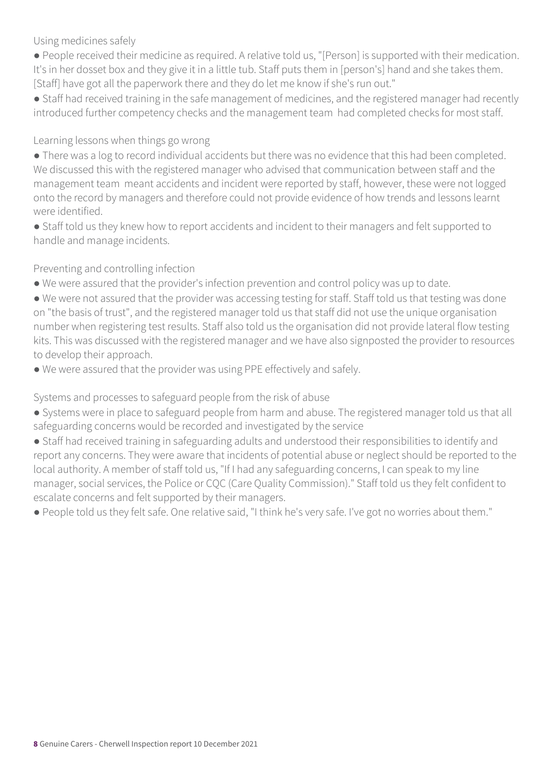Using medicines safely

- People received their medicine as required. A relative told us, "[Person] is supported with their medication. It's in her dosset box and they give it in a little tub. Staff puts them in [person's] hand and she takes them. [Staff] have got all the paperwork there and they do let me know if she's run out."
- Staff had received training in the safe management of medicines, and the registered manager had recently introduced further competency checks and the management team had completed checks for most staff.

#### Learning lessons when things go wrong

- There was a log to record individual accidents but there was no evidence that this had been completed. We discussed this with the registered manager who advised that communication between staff and the management team meant accidents and incident were reported by staff, however, these were not logged onto the record by managers and therefore could not provide evidence of how trends and lessons learnt were identified.
- Staff told us they knew how to report accidents and incident to their managers and felt supported to handle and manage incidents.

#### Preventing and controlling infection

- We were assured that the provider's infection prevention and control policy was up to date.
- We were not assured that the provider was accessing testing for staff. Staff told us that testing was done on "the basis of trust", and the registered manager told us that staff did not use the unique organisation number when registering test results. Staff also told us the organisation did not provide lateral flow testing kits. This was discussed with the registered manager and we have also signposted the provider to resources to develop their approach.
- We were assured that the provider was using PPE effectively and safely.

Systems and processes to safeguard people from the risk of abuse

- Systems were in place to safeguard people from harm and abuse. The registered manager told us that all safeguarding concerns would be recorded and investigated by the service
- Staff had received training in safeguarding adults and understood their responsibilities to identify and report any concerns. They were aware that incidents of potential abuse or neglect should be reported to the local authority. A member of staff told us, "If I had any safeguarding concerns, I can speak to my line manager, social services, the Police or CQC (Care Quality Commission)." Staff told us they felt confident to escalate concerns and felt supported by their managers.
- People told us they felt safe. One relative said, "I think he's very safe. I've got no worries about them."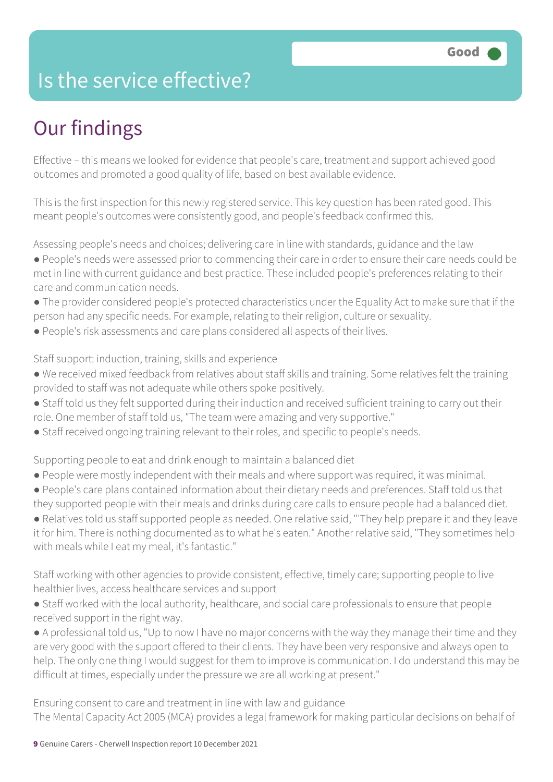### Is the service effective?

### Our findings

Effective – this means we looked for evidence that people's care, treatment and support achieved good outcomes and promoted a good quality of life, based on best available evidence.

This is the first inspection for this newly registered service. This key question has been rated good. This meant people's outcomes were consistently good, and people's feedback confirmed this.

Assessing people's needs and choices; delivering care in line with standards, guidance and the law

- People's needs were assessed prior to commencing their care in order to ensure their care needs could be met in line with current guidance and best practice. These included people's preferences relating to their care and communication needs.
- The provider considered people's protected characteristics under the Equality Act to make sure that if the person had any specific needs. For example, relating to their religion, culture or sexuality.
- People's risk assessments and care plans considered all aspects of their lives.

Staff support: induction, training, skills and experience

- We received mixed feedback from relatives about staff skills and training. Some relatives felt the training provided to staff was not adequate while others spoke positively.
- Staff told us they felt supported during their induction and received sufficient training to carry out their role. One member of staff told us, "The team were amazing and very supportive."
- Staff received ongoing training relevant to their roles, and specific to people's needs.

Supporting people to eat and drink enough to maintain a balanced diet

- People were mostly independent with their meals and where support was required, it was minimal.
- People's care plans contained information about their dietary needs and preferences. Staff told us that they supported people with their meals and drinks during care calls to ensure people had a balanced diet.

● Relatives told us staff supported people as needed. One relative said, "'They help prepare it and they leave it for him. There is nothing documented as to what he's eaten." Another relative said, "They sometimes help with meals while I eat my meal, it's fantastic."

Staff working with other agencies to provide consistent, effective, timely care; supporting people to live healthier lives, access healthcare services and support

● Staff worked with the local authority, healthcare, and social care professionals to ensure that people received support in the right way.

● A professional told us, "Up to now I have no major concerns with the way they manage their time and they are very good with the support offered to their clients. They have been very responsive and always open to help. The only one thing I would suggest for them to improve is communication. I do understand this may be difficult at times, especially under the pressure we are all working at present."

Ensuring consent to care and treatment in line with law and guidance The Mental Capacity Act 2005 (MCA) provides a legal framework for making particular decisions on behalf of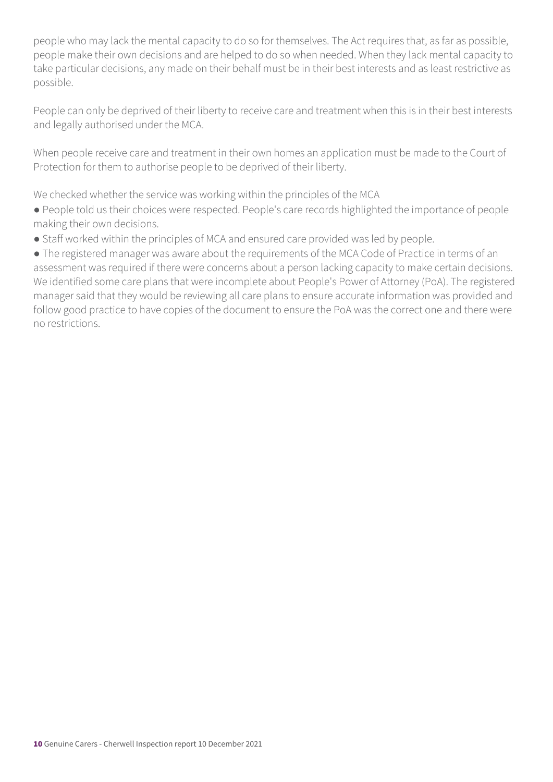people who may lack the mental capacity to do so for themselves. The Act requires that, as far as possible, people make their own decisions and are helped to do so when needed. When they lack mental capacity to take particular decisions, any made on their behalf must be in their best interests and as least restrictive as possible.

People can only be deprived of their liberty to receive care and treatment when this is in their best interests and legally authorised under the MCA.

When people receive care and treatment in their own homes an application must be made to the Court of Protection for them to authorise people to be deprived of their liberty.

We checked whether the service was working within the principles of the MCA

- People told us their choices were respected. People's care records highlighted the importance of people making their own decisions.
- Staff worked within the principles of MCA and ensured care provided was led by people.

● The registered manager was aware about the requirements of the MCA Code of Practice in terms of an assessment was required if there were concerns about a person lacking capacity to make certain decisions. We identified some care plans that were incomplete about People's Power of Attorney (PoA). The registered manager said that they would be reviewing all care plans to ensure accurate information was provided and follow good practice to have copies of the document to ensure the PoA was the correct one and there were no restrictions.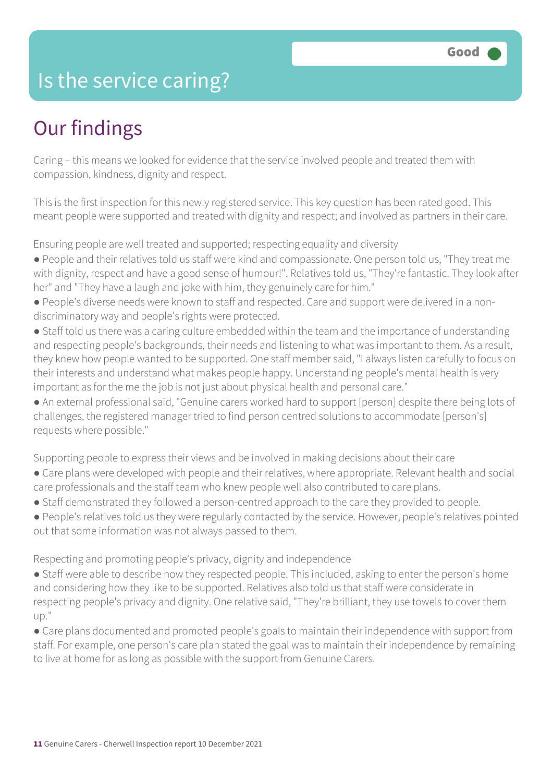### Is the service caring?

### Our findings

Caring – this means we looked for evidence that the service involved people and treated them with compassion, kindness, dignity and respect.

This is the first inspection for this newly registered service. This key question has been rated good. This meant people were supported and treated with dignity and respect; and involved as partners in their care.

Ensuring people are well treated and supported; respecting equality and diversity

- People and their relatives told us staff were kind and compassionate. One person told us, "They treat me with dignity, respect and have a good sense of humour!". Relatives told us, "They're fantastic. They look after her" and "They have a laugh and joke with him, they genuinely care for him."
- People's diverse needs were known to staff and respected. Care and support were delivered in a nondiscriminatory way and people's rights were protected.
- Staff told us there was a caring culture embedded within the team and the importance of understanding and respecting people's backgrounds, their needs and listening to what was important to them. As a result, they knew how people wanted to be supported. One staff member said, "I always listen carefully to focus on their interests and understand what makes people happy. Understanding people's mental health is very important as for the me the job is not just about physical health and personal care."
- An external professional said, "Genuine carers worked hard to support [person] despite there being lots of challenges, the registered manager tried to find person centred solutions to accommodate [person's] requests where possible."

Supporting people to express their views and be involved in making decisions about their care

- Care plans were developed with people and their relatives, where appropriate. Relevant health and social care professionals and the staff team who knew people well also contributed to care plans.
- Staff demonstrated they followed a person-centred approach to the care they provided to people.
- People's relatives told us they were regularly contacted by the service. However, people's relatives pointed out that some information was not always passed to them.

Respecting and promoting people's privacy, dignity and independence

- Staff were able to describe how they respected people. This included, asking to enter the person's home and considering how they like to be supported. Relatives also told us that staff were considerate in respecting people's privacy and dignity. One relative said, "They're brilliant, they use towels to cover them up."
- Care plans documented and promoted people's goals to maintain their independence with support from staff. For example, one person's care plan stated the goal was to maintain their independence by remaining to live at home for as long as possible with the support from Genuine Carers.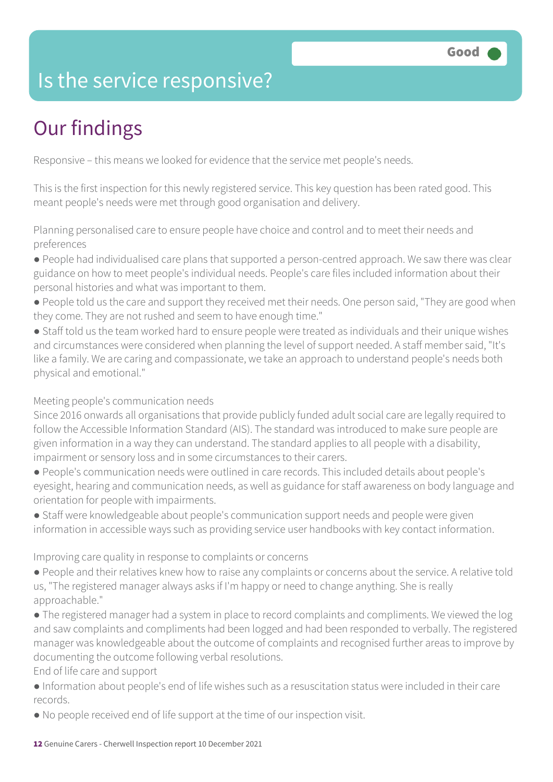### Is the service responsive?

### Our findings

Responsive – this means we looked for evidence that the service met people's needs.

This is the first inspection for this newly registered service. This key question has been rated good. This meant people's needs were met through good organisation and delivery.

Planning personalised care to ensure people have choice and control and to meet their needs and preferences

- People had individualised care plans that supported a person-centred approach. We saw there was clear guidance on how to meet people's individual needs. People's care files included information about their personal histories and what was important to them.
- People told us the care and support they received met their needs. One person said, "They are good when they come. They are not rushed and seem to have enough time."
- Staff told us the team worked hard to ensure people were treated as individuals and their unique wishes and circumstances were considered when planning the level of support needed. A staff member said, "It's like a family. We are caring and compassionate, we take an approach to understand people's needs both physical and emotional."

#### Meeting people's communication needs

Since 2016 onwards all organisations that provide publicly funded adult social care are legally required to follow the Accessible Information Standard (AIS). The standard was introduced to make sure people are given information in a way they can understand. The standard applies to all people with a disability, impairment or sensory loss and in some circumstances to their carers.

- People's communication needs were outlined in care records. This included details about people's eyesight, hearing and communication needs, as well as guidance for staff awareness on body language and orientation for people with impairments.
- Staff were knowledgeable about people's communication support needs and people were given information in accessible ways such as providing service user handbooks with key contact information.

#### Improving care quality in response to complaints or concerns

- People and their relatives knew how to raise any complaints or concerns about the service. A relative told us, "The registered manager always asks if I'm happy or need to change anything. She is really approachable."
- The registered manager had a system in place to record complaints and compliments. We viewed the log and saw complaints and compliments had been logged and had been responded to verbally. The registered manager was knowledgeable about the outcome of complaints and recognised further areas to improve by documenting the outcome following verbal resolutions.

End of life care and support

- Information about people's end of life wishes such as a resuscitation status were included in their care records.
- No people received end of life support at the time of our inspection visit.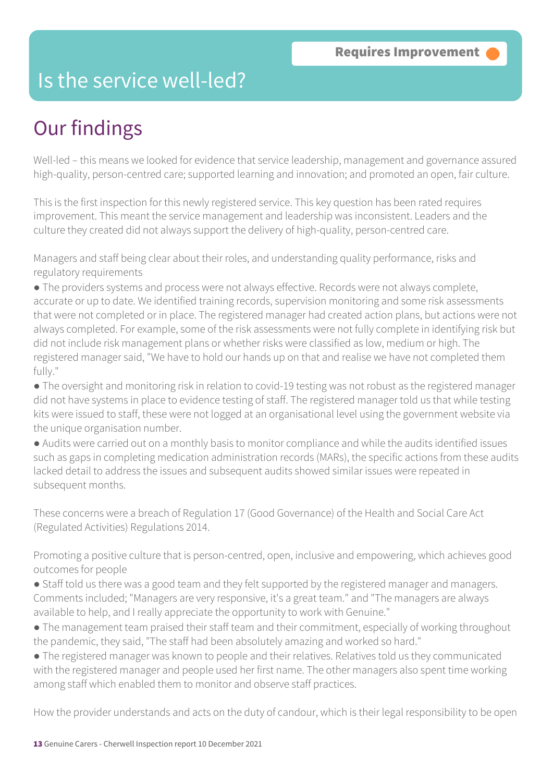### Is the service well-led?

### Our findings

Well-led – this means we looked for evidence that service leadership, management and governance assured high-quality, person-centred care; supported learning and innovation; and promoted an open, fair culture.

This is the first inspection for this newly registered service. This key question has been rated requires improvement. This meant the service management and leadership was inconsistent. Leaders and the culture they created did not always support the delivery of high-quality, person-centred care.

Managers and staff being clear about their roles, and understanding quality performance, risks and regulatory requirements

● The providers systems and process were not always effective. Records were not always complete, accurate or up to date. We identified training records, supervision monitoring and some risk assessments that were not completed or in place. The registered manager had created action plans, but actions were not always completed. For example, some of the risk assessments were not fully complete in identifying risk but did not include risk management plans or whether risks were classified as low, medium or high. The registered manager said, "We have to hold our hands up on that and realise we have not completed them fully."

● The oversight and monitoring risk in relation to covid-19 testing was not robust as the registered manager did not have systems in place to evidence testing of staff. The registered manager told us that while testing kits were issued to staff, these were not logged at an organisational level using the government website via the unique organisation number.

● Audits were carried out on a monthly basis to monitor compliance and while the audits identified issues such as gaps in completing medication administration records (MARs), the specific actions from these audits lacked detail to address the issues and subsequent audits showed similar issues were repeated in subsequent months.

These concerns were a breach of Regulation 17 (Good Governance) of the Health and Social Care Act (Regulated Activities) Regulations 2014.

Promoting a positive culture that is person-centred, open, inclusive and empowering, which achieves good outcomes for people

- Staff told us there was a good team and they felt supported by the registered manager and managers. Comments included; "Managers are very responsive, it's a great team." and "The managers are always available to help, and I really appreciate the opportunity to work with Genuine."
- The management team praised their staff team and their commitment, especially of working throughout the pandemic, they said, "The staff had been absolutely amazing and worked so hard."
- The registered manager was known to people and their relatives. Relatives told us they communicated with the registered manager and people used her first name. The other managers also spent time working among staff which enabled them to monitor and observe staff practices.

How the provider understands and acts on the duty of candour, which is their legal responsibility to be open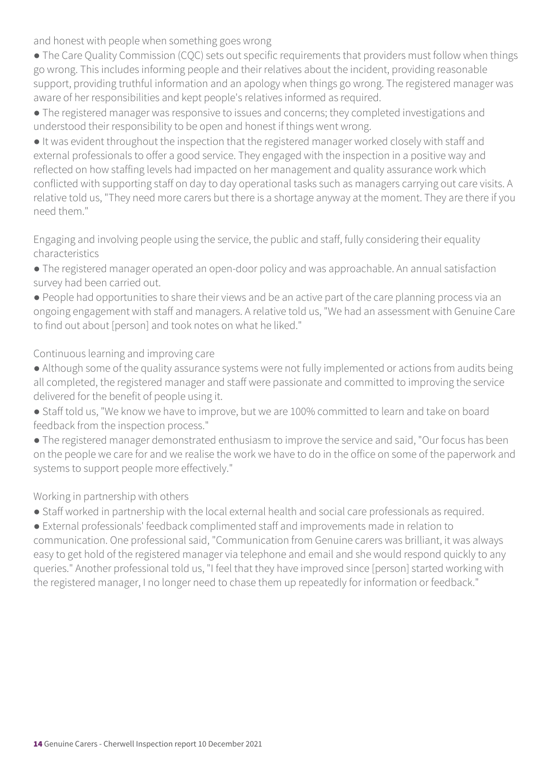and honest with people when something goes wrong

• The Care Quality Commission (CQC) sets out specific requirements that providers must follow when things go wrong. This includes informing people and their relatives about the incident, providing reasonable support, providing truthful information and an apology when things go wrong. The registered manager was aware of her responsibilities and kept people's relatives informed as required.

● The registered manager was responsive to issues and concerns; they completed investigations and understood their responsibility to be open and honest if things went wrong.

● It was evident throughout the inspection that the registered manager worked closely with staff and external professionals to offer a good service. They engaged with the inspection in a positive way and reflected on how staffing levels had impacted on her management and quality assurance work which conflicted with supporting staff on day to day operational tasks such as managers carrying out care visits. A relative told us, "They need more carers but there is a shortage anyway at the moment. They are there if you need them."

Engaging and involving people using the service, the public and staff, fully considering their equality characteristics

● The registered manager operated an open-door policy and was approachable. An annual satisfaction survey had been carried out.

● People had opportunities to share their views and be an active part of the care planning process via an ongoing engagement with staff and managers. A relative told us, "We had an assessment with Genuine Care to find out about [person] and took notes on what he liked."

Continuous learning and improving care

- Although some of the quality assurance systems were not fully implemented or actions from audits being all completed, the registered manager and staff were passionate and committed to improving the service delivered for the benefit of people using it.
- Staff told us, "We know we have to improve, but we are 100% committed to learn and take on board feedback from the inspection process."
- The registered manager demonstrated enthusiasm to improve the service and said, "Our focus has been on the people we care for and we realise the work we have to do in the office on some of the paperwork and systems to support people more effectively."

Working in partnership with others

● Staff worked in partnership with the local external health and social care professionals as required.

● External professionals' feedback complimented staff and improvements made in relation to communication. One professional said, "Communication from Genuine carers was brilliant, it was always easy to get hold of the registered manager via telephone and email and she would respond quickly to any queries." Another professional told us, "I feel that they have improved since [person] started working with the registered manager, I no longer need to chase them up repeatedly for information or feedback."